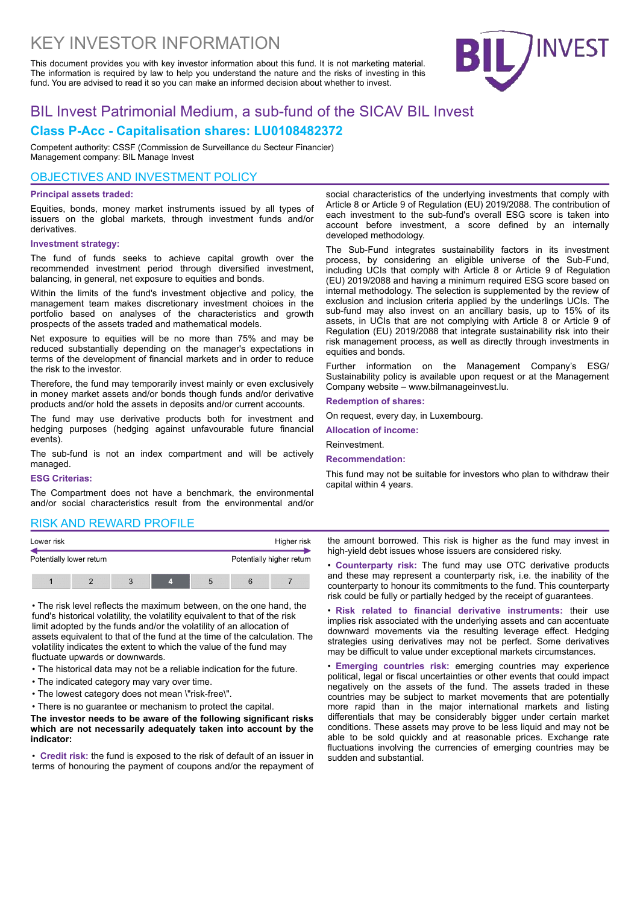# KEY INVESTOR INFORMATION

This document provides you with key investor information about this fund. It is not marketing material. The information is required by law to help you understand the nature and the risks of investing in this fund. You are advised to read it so you can make an informed decision about whether to invest.



## BIL Invest Patrimonial Medium, a sub-fund of the SICAV BIL Invest **Class P-Acc - Capitalisation shares: LU0108482372**

Competent authority: CSSF (Commission de Surveillance du Secteur Financier) Management company: BIL Manage Invest

## OBJECTIVES AND INVESTMENT POLICY

### **Principal assets traded:**

Equities, bonds, money market instruments issued by all types of issuers on the global markets, through investment funds and/or derivatives.

## **Investment strategy:**

The fund of funds seeks to achieve capital growth over the recommended investment period through diversified investment, balancing, in general, net exposure to equities and bonds.

Within the limits of the fund's investment objective and policy, the management team makes discretionary investment choices in the portfolio based on analyses of the characteristics and growth prospects of the assets traded and mathematical models.

Net exposure to equities will be no more than 75% and may be reduced substantially depending on the manager's expectations in terms of the development of financial markets and in order to reduce the risk to the investor.

Therefore, the fund may temporarily invest mainly or even exclusively in money market assets and/or bonds though funds and/or derivative products and/or hold the assets in deposits and/or current accounts.

The fund may use derivative products both for investment and hedging purposes (hedging against unfavourable future financial events).

The sub-fund is not an index compartment and will be actively managed.

#### **ESG Criterias:**

The Compartment does not have a benchmark, the environmental and/or social characteristics result from the environmental and/or

social characteristics of the underlying investments that comply with Article 8 or Article 9 of Regulation (EU) 2019/2088. The contribution of each investment to the sub-fund's overall ESG score is taken into account before investment, a score defined by an internally developed methodology.

The Sub-Fund integrates sustainability factors in its investment process, by considering an eligible universe of the Sub-Fund, including UCIs that comply with Article 8 or Article 9 of Regulation (EU) 2019/2088 and having a minimum required ESG score based on internal methodology. The selection is supplemented by the review of exclusion and inclusion criteria applied by the underlings UCIs. The sub-fund may also invest on an ancillary basis, up to 15% of its assets, in UCIs that are not complying with Article 8 or Article 9 of Regulation (EU) 2019/2088 that integrate sustainability risk into their risk management process, as well as directly through investments in equities and bonds.

Further information on the Management Company's ESG/ Sustainability policy is available upon request or at the Management Company website – www.bilmanageinvest.lu.

#### **Redemption of shares:**

On request, every day, in Luxembourg.

**Allocation of income:**

Reinvestment.

**Recommendation:**

This fund may not be suitable for investors who plan to withdraw their capital within 4 years.

## RISK AND REWARD PROFILE



• The risk level reflects the maximum between, on the one hand, the fund's historical volatility, the volatility equivalent to that of the risk limit adopted by the funds and/or the volatility of an allocation of assets equivalent to that of the fund at the time of the calculation. The volatility indicates the extent to which the value of the fund may fluctuate upwards or downwards.

- The historical data may not be a reliable indication for the future.
- The indicated category may vary over time.
- The lowest category does not mean \"risk-free\".
- There is no guarantee or mechanism to protect the capital.

**The investor needs to be aware of the following significant risks which are not necessarily adequately taken into account by the indicator:** 

• **Credit risk:** the fund is exposed to the risk of default of an issuer in terms of honouring the payment of coupons and/or the repayment of the amount borrowed. This risk is higher as the fund may invest in high-yield debt issues whose issuers are considered risky.

• **Counterparty risk:** The fund may use OTC derivative products and these may represent a counterparty risk, i.e. the inability of the counterparty to honour its commitments to the fund. This counterparty risk could be fully or partially hedged by the receipt of guarantees.

• **Risk related to financial derivative instruments:** their use implies risk associated with the underlying assets and can accentuate downward movements via the resulting leverage effect. Hedging strategies using derivatives may not be perfect. Some derivatives may be difficult to value under exceptional markets circumstances.

• **Emerging countries risk:** emerging countries may experience political, legal or fiscal uncertainties or other events that could impact negatively on the assets of the fund. The assets traded in these countries may be subject to market movements that are potentially more rapid than in the major international markets and listing differentials that may be considerably bigger under certain market conditions. These assets may prove to be less liquid and may not be able to be sold quickly and at reasonable prices. Exchange rate fluctuations involving the currencies of emerging countries may be sudden and substantial.